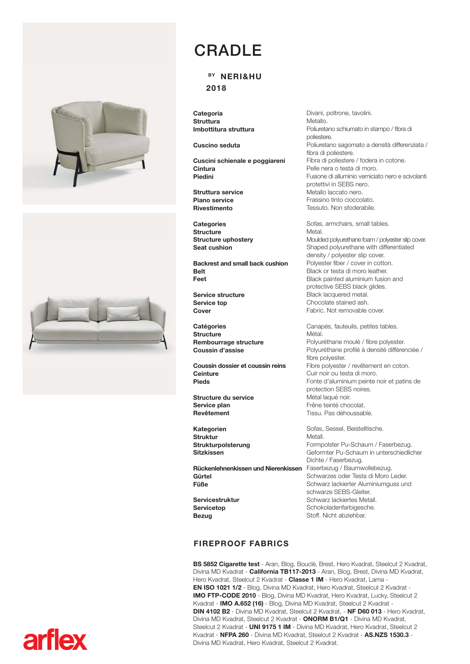



## CRADLE

## BY NERI&HU 2018

**Categoria Struttura** Imbottitura struttura

Cuscino seduta

Cuscini schienale e poggiareni **Cintura** Piedini

Struttura service Piano service Rivestimento

**Categories** Structure Structure uphostery Seat cushion

Backrest and small back cushion Belt Feet

Service structure Service top Cover

**Catégories** Structure Rembourrage structure Coussin d'assise

Coussin dossier et coussin reins **Ceinture** Pieds

Structure du service Service plan Revêtement

Kategorien Struktur Strukturpolsterung Sitzkissen

Rückenlehnenkissen und Nierenkissen Faserbezug / Baumwollebezug. Gürtel Füße

Servicestruktur **Serviceton** Bezug

## FIREPROOF FABRICS

BS 5852 Cigarette test - Aran, Blog, Bouclè, Brest, Hero Kvadrat, Steelcut 2 Kvadrat, Divina MD Kvadrat - California TB117-2013 - Aran, Blog, Brest, Divina MD Kvadrat, Hero Kvadrat, Steelcut 2 Kvadrat - Classe 1 IM - Hero Kvadrat, Lama -EN ISO 1021 1/2 - Blog, Divina MD Kvadrat, Hero Kvadrat, Steelcut 2 Kvadrat - IMO FTP-CODE 2010 - Blog, Divina MD Kvadrat, Hero Kvadrat, Lucky, Steelcut 2 Kvadrat - IMO A.652 (16) - Blog, Divina MD Kvadrat, Steelcut 2 Kvadrat - DIN 4102 B2 - Divina MD Kvadrat, Steelcut 2 Kvadrat, - NF D60 013 - Hero Kvadrat, Divina MD Kvadrat, Steelcut 2 Kvadrat - ONORM B1/Q1 - Divina MD Kvadrat, Steelcut 2 Kvadrat - UNI 9175 1 IM - Divina MD Kvadrat, Hero Kvadrat, Steelcut 2 Kvadrat - NFPA 260 - Divina MD Kvadrat, Steelcut 2 Kvadrat - AS.NZS 1530.3 - Divina MD Kvadrat, Hero Kvadrat, Steelcut 2 Kvadrat.

Divani, poltrone, tavolini. Metallo. Poliuretano schiumato in stampo / fibra di poliestere. Poliuretano sagomato a densità differenziata / fibra di poliestere. Fibra di poliestere / fodera in cotone. Pelle nera o testa di moro. Fusione di alluminio verniciato nero e scivolanti protettivi in SEBS nero. Metallo laccato nero. Frassino tinto cioccolato. Tessuto. Non sfoderabile.

Sofas, armchairs, small tables. Metal. Moulded polyurethane foam / polyester slip cover. Shaped polyurethane with differentiated density / polyester slip cover. Polyester fiber / cover in cotton. Black or testa di moro leather. Black painted aluminium fusion and protective SEBS black glides. Black lacquered metal. Chocolate stained ash. Fabric. Not removable cover.

Canapés, fauteuils, petites tables. Métal. Polyuréthane moulé / fibre polyester. Polyuréthane profilé à densité différenciée / fibre polyester. Fibre polyester / revêtement en coton. Cuir noir ou testa di moro. Fonte d'aluminium peinte noir et patins de protection SEBS noires. Métal laqué noir. Frêne teinté chocolat. Tissu. Pas déhoussable.

Sofas, Sessel, Beistelltische. Metall. Formpolster Pu-Schaum / Faserbezug. Geformter Pu-Schaum in unterschiedlicher Dichte / Faserbezug. Schwarzes oder Testa di Moro Leder. Schwarz lackierter Aluminiumguss und schwarze SEBS-Gleiter. Schwarz lackiertes Metall. Schokoladenfarbigesche. Stoff. Nicht abziehbar.

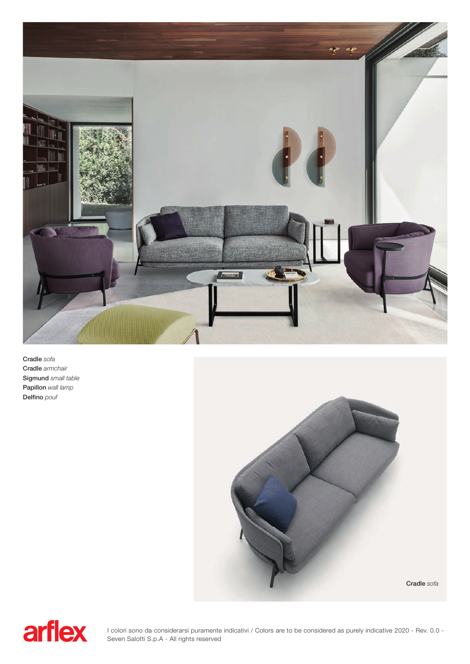

Cradle sofa Cradle armchair Sigmund small table Papillon wall lamp Delfino pouf





I colori sono da considerarsi puramente indicativi / Colors are to be considered as purely indicative 2020 - Rev. 0.0 - Seven Salotti S.p.A - All rights reserved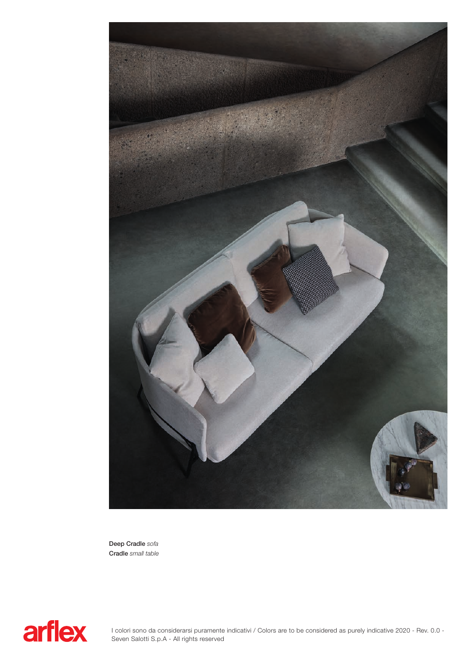

Deep Cradle sofa Cradle small table

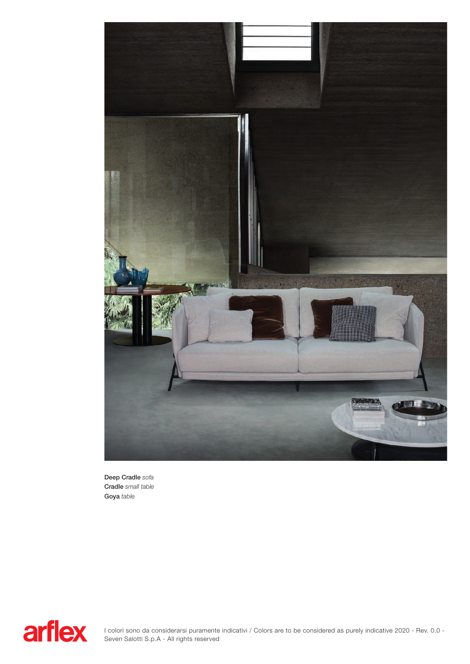

Deep Cradle sofa Cradle small table Goya table

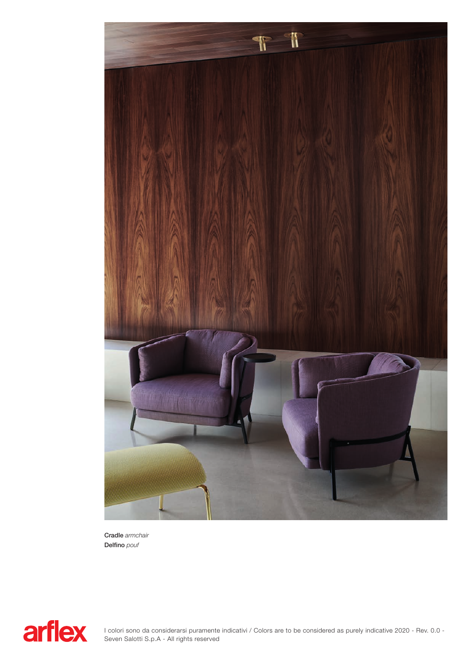

Cradle armchair Delfino pouf